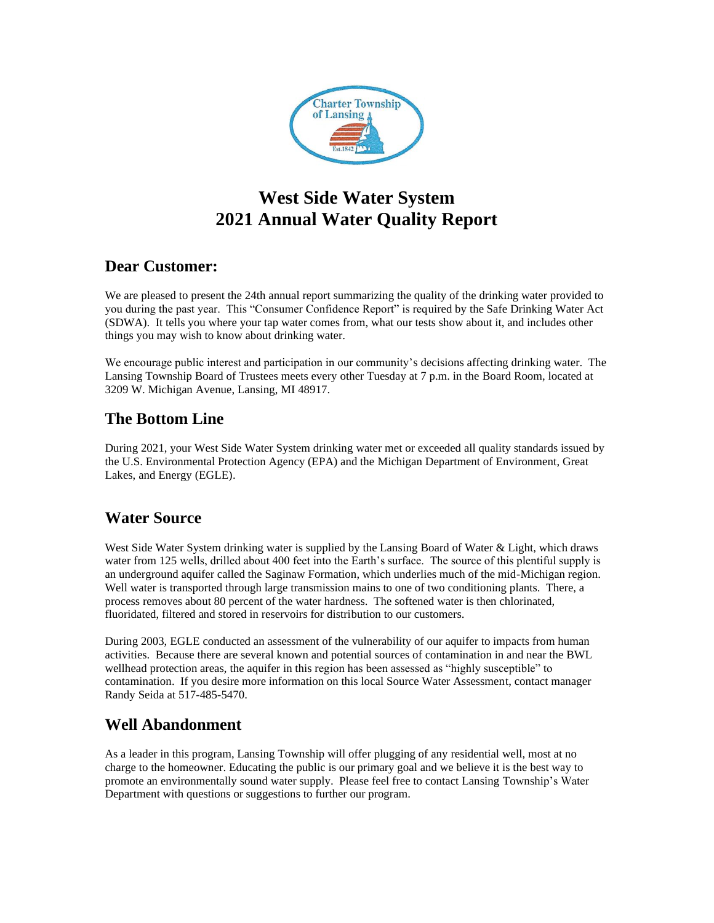

# **West Side Water System 2021 Annual Water Quality Report**

## **Dear Customer:**

We are pleased to present the 24th annual report summarizing the quality of the drinking water provided to you during the past year. This "Consumer Confidence Report" is required by the Safe Drinking Water Act (SDWA). It tells you where your tap water comes from, what our tests show about it, and includes other things you may wish to know about drinking water.

We encourage public interest and participation in our community's decisions affecting drinking water. The Lansing Township Board of Trustees meets every other Tuesday at 7 p.m. in the Board Room, located at 3209 W. Michigan Avenue, Lansing, MI 48917.

## **The Bottom Line**

During 2021, your West Side Water System drinking water met or exceeded all quality standards issued by the U.S. Environmental Protection Agency (EPA) and the Michigan Department of Environment, Great Lakes, and Energy (EGLE).

## **Water Source**

West Side Water System drinking water is supplied by the Lansing Board of Water & Light, which draws water from 125 wells, drilled about 400 feet into the Earth's surface. The source of this plentiful supply is an underground aquifer called the Saginaw Formation, which underlies much of the mid-Michigan region. Well water is transported through large transmission mains to one of two conditioning plants. There, a process removes about 80 percent of the water hardness. The softened water is then chlorinated, fluoridated, filtered and stored in reservoirs for distribution to our customers.

During 2003, EGLE conducted an assessment of the vulnerability of our aquifer to impacts from human activities. Because there are several known and potential sources of contamination in and near the BWL wellhead protection areas, the aquifer in this region has been assessed as "highly susceptible" to contamination. If you desire more information on this local Source Water Assessment, contact manager Randy Seida at 517-485-5470.

### **Well Abandonment**

As a leader in this program, Lansing Township will offer plugging of any residential well, most at no charge to the homeowner. Educating the public is our primary goal and we believe it is the best way to promote an environmentally sound water supply. Please feel free to contact Lansing Township's Water Department with questions or suggestions to further our program.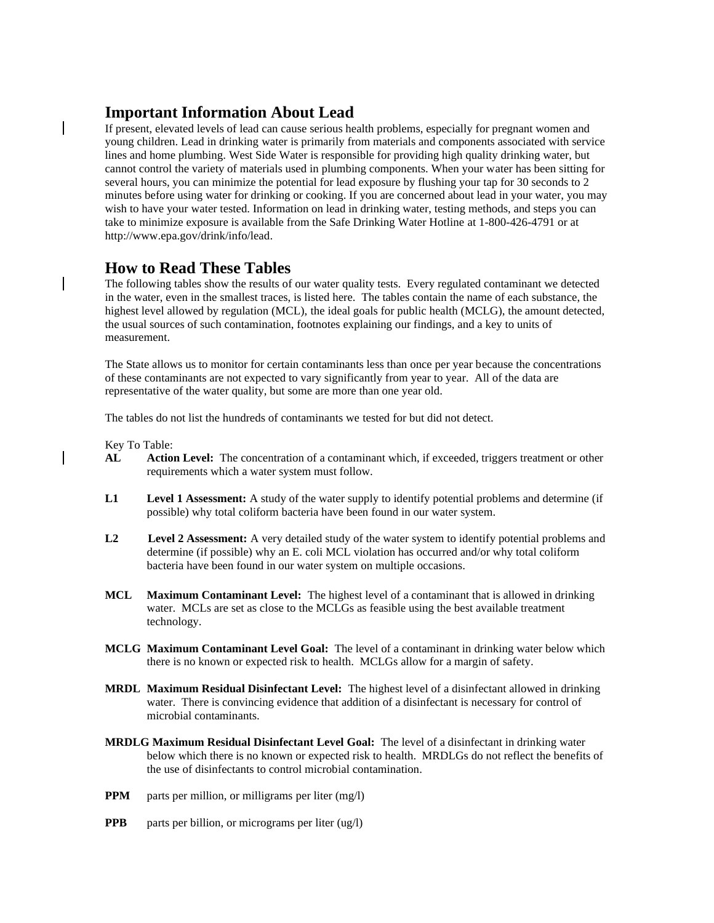### **Important Information About Lead**

If present, elevated levels of lead can cause serious health problems, especially for pregnant women and young children. Lead in drinking water is primarily from materials and components associated with service lines and home plumbing. West Side Water is responsible for providing high quality drinking water, but cannot control the variety of materials used in plumbing components. When your water has been sitting for several hours, you can minimize the potential for lead exposure by flushing your tap for 30 seconds to 2 minutes before using water for drinking or cooking. If you are concerned about lead in your water, you may wish to have your water tested. Information on lead in drinking water, testing methods, and steps you can take to minimize exposure is available from the Safe Drinking Water Hotline at 1-800-426-4791 or at http://www.epa.gov/drink/info/lead.

### **How to Read These Tables**

The following tables show the results of our water quality tests. Every regulated contaminant we detected in the water, even in the smallest traces, is listed here. The tables contain the name of each substance, the highest level allowed by regulation (MCL), the ideal goals for public health (MCLG), the amount detected, the usual sources of such contamination, footnotes explaining our findings, and a key to units of measurement.

The State allows us to monitor for certain contaminants less than once per year because the concentrations of these contaminants are not expected to vary significantly from year to year. All of the data are representative of the water quality, but some are more than one year old.

The tables do not list the hundreds of contaminants we tested for but did not detect.

Key To Table:

- **AL Action Level:** The concentration of a contaminant which, if exceeded, triggers treatment or other requirements which a water system must follow.
- **L1 Level 1 Assessment:** A study of the water supply to identify potential problems and determine (if possible) why total coliform bacteria have been found in our water system.
- **L2 Level 2 Assessment:** A very detailed study of the water system to identify potential problems and determine (if possible) why an E. coli MCL violation has occurred and/or why total coliform bacteria have been found in our water system on multiple occasions.
- **MCL Maximum Contaminant Level:** The highest level of a contaminant that is allowed in drinking water. MCLs are set as close to the MCLGs as feasible using the best available treatment technology.
- **MCLG Maximum Contaminant Level Goal:** The level of a contaminant in drinking water below which there is no known or expected risk to health. MCLGs allow for a margin of safety.
- **MRDL Maximum Residual Disinfectant Level:** The highest level of a disinfectant allowed in drinking water. There is convincing evidence that addition of a disinfectant is necessary for control of microbial contaminants.
- **MRDLG Maximum Residual Disinfectant Level Goal:** The level of a disinfectant in drinking water below which there is no known or expected risk to health. MRDLGs do not reflect the benefits of the use of disinfectants to control microbial contamination.
- **PPM** parts per million, or milligrams per liter (mg/l)
- **PPB** parts per billion, or micrograms per liter (ug/l)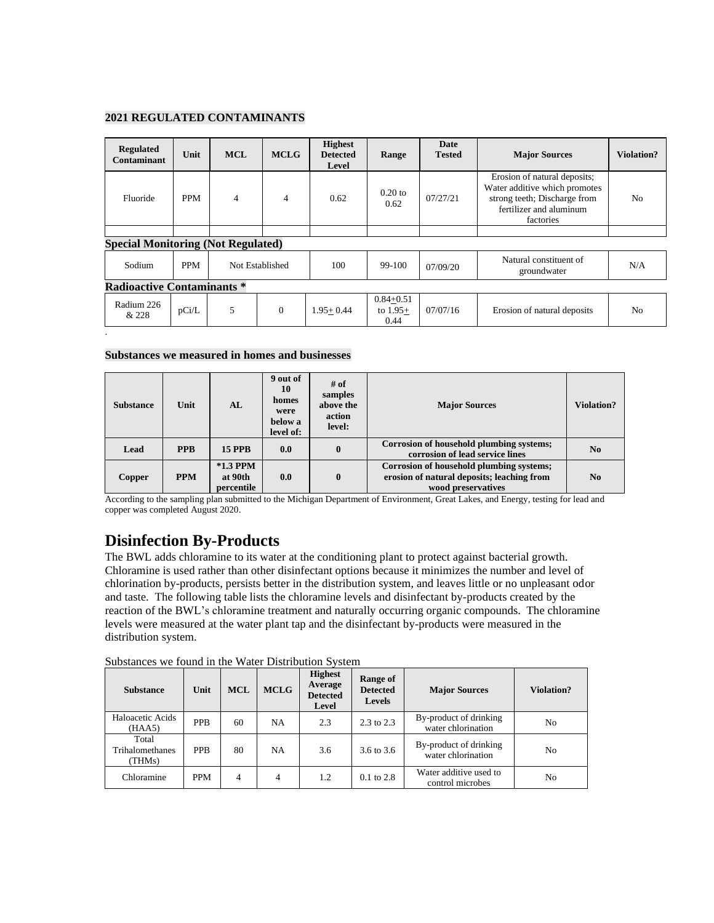#### **2021 REGULATED CONTAMINANTS**

| <b>Regulated</b><br>Contaminant           | Unit       | <b>MCL</b>     | <b>MCLG</b>     | <b>Highest</b><br><b>Detected</b><br>Level | Range                               | <b>Date</b><br><b>Tested</b> | <b>Major Sources</b>                                                                                                                  | Violation? |  |
|-------------------------------------------|------------|----------------|-----------------|--------------------------------------------|-------------------------------------|------------------------------|---------------------------------------------------------------------------------------------------------------------------------------|------------|--|
| Fluoride                                  | <b>PPM</b> | $\overline{4}$ | $\overline{4}$  | 0.62                                       | $0.20$ to<br>0.62                   | 07/27/21                     | Erosion of natural deposits;<br>Water additive which promotes<br>strong teeth; Discharge from<br>fertilizer and aluminum<br>factories | No         |  |
|                                           |            |                |                 |                                            |                                     |                              |                                                                                                                                       |            |  |
| <b>Special Monitoring (Not Regulated)</b> |            |                |                 |                                            |                                     |                              |                                                                                                                                       |            |  |
| Sodium                                    | <b>PPM</b> |                | Not Established |                                            | 99-100                              | 07/09/20                     | Natural constituent of<br>groundwater                                                                                                 | N/A        |  |
| <b>Radioactive Contaminants *</b>         |            |                |                 |                                            |                                     |                              |                                                                                                                                       |            |  |
| Radium 226<br>& 228                       | pCi/L      | 5              | $\mathbf{0}$    | $1.95 + 0.44$                              | $0.84 + 0.51$<br>to $1.95+$<br>0.44 | 07/07/16                     | Erosion of natural deposits                                                                                                           | No         |  |

#### **Substances we measured in homes and businesses**

.

| <b>Substance</b> | Unit       | AL                                  | 9 out of<br>10<br>homes<br>were<br>below a<br>level of: | # of<br>samples<br>above the<br>action<br>level: | <b>Major Sources</b>                                                                                         | <b>Violation?</b> |
|------------------|------------|-------------------------------------|---------------------------------------------------------|--------------------------------------------------|--------------------------------------------------------------------------------------------------------------|-------------------|
| Lead             | <b>PPB</b> | <b>15 PPB</b>                       | 0.0                                                     | $\bf{0}$                                         | Corrosion of household plumbing systems;<br>corrosion of lead service lines                                  | No                |
| Copper           | <b>PPM</b> | $*1.3$ PPM<br>at 90th<br>percentile | 0.0                                                     | $\bf{0}$                                         | Corrosion of household plumbing systems;<br>erosion of natural deposits; leaching from<br>wood preservatives | No                |

According to the sampling plan submitted to the Michigan Department of Environment, Great Lakes, and Energy, testing for lead and copper was completed August 2020.

### **Disinfection By-Products**

The BWL adds chloramine to its water at the conditioning plant to protect against bacterial growth. Chloramine is used rather than other disinfectant options because it minimizes the number and level of chlorination by-products, persists better in the distribution system, and leaves little or no unpleasant odor and taste. The following table lists the chloramine levels and disinfectant by-products created by the reaction of the BWL's chloramine treatment and naturally occurring organic compounds. The chloramine levels were measured at the water plant tap and the disinfectant by-products were measured in the distribution system.

| <b>Substance</b>                   | Unit       | <b>MCL</b> | <b>MCLG</b> | <b>Highest</b><br>Average<br><b>Detected</b><br>Level | Range of<br><b>Detected</b><br><b>Levels</b> | <b>Major Sources</b>                         | Violation? |
|------------------------------------|------------|------------|-------------|-------------------------------------------------------|----------------------------------------------|----------------------------------------------|------------|
| Haloacetic Acids<br>(HAA5)         | <b>PPB</b> | 60         | <b>NA</b>   | 2.3                                                   | 2.3 to 2.3                                   | By-product of drinking<br>water chlorination | No.        |
| Total<br>Trihalomethanes<br>(THMs) | <b>PPB</b> | 80         | <b>NA</b>   | 3.6                                                   | 3.6 to 3.6                                   | By-product of drinking<br>water chlorination | No         |
| Chloramine                         | <b>PPM</b> | 4          | 4           | 1.2                                                   | $0.1$ to $2.8$                               | Water additive used to<br>control microbes   | No         |

Substances we found in the Water Distribution System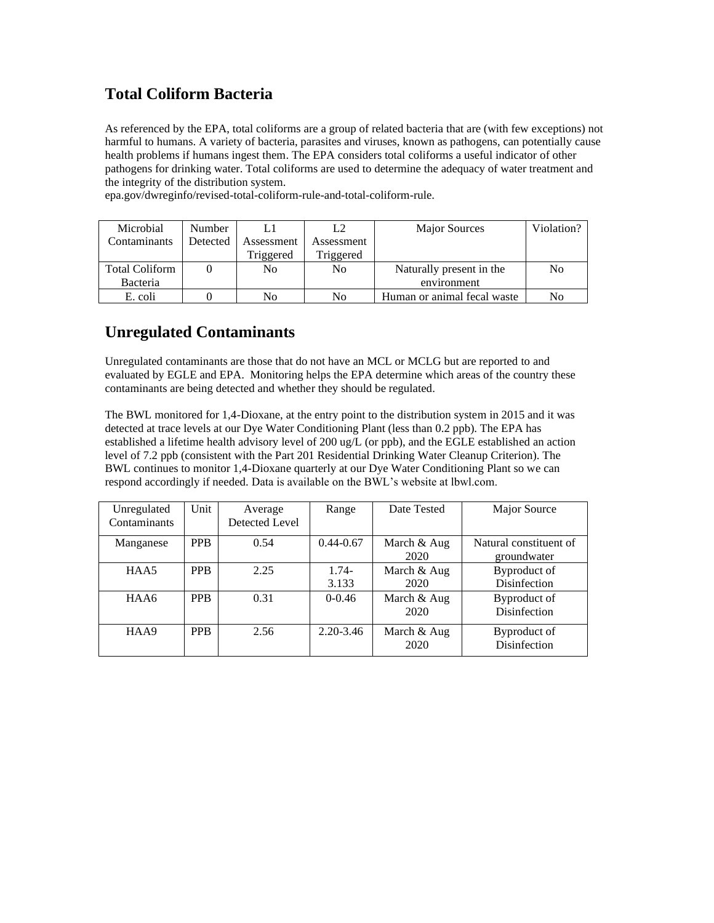## **Total Coliform Bacteria**

As referenced by the EPA, total coliforms are a group of related bacteria that are (with few exceptions) not harmful to humans. A variety of bacteria, parasites and viruses, known as pathogens, can potentially cause health problems if humans ingest them. The EPA considers total coliforms a useful indicator of other pathogens for drinking water. Total coliforms are used to determine the adequacy of water treatment and the integrity of the distribution system.

epa.gov/dwreginfo/revised-total-coliform-rule-and-total-coliform-rule.

| Microbial             | <b>Number</b> |            |                | <b>Major Sources</b>        | Violation? |
|-----------------------|---------------|------------|----------------|-----------------------------|------------|
| Contaminants          | Detected      | Assessment | Assessment     |                             |            |
|                       |               | Triggered  | Triggered      |                             |            |
| <b>Total Coliform</b> |               | No         | N <sub>0</sub> | Naturally present in the    | No         |
| Bacteria              |               |            |                | environment                 |            |
| E. coli               |               | No         | No             | Human or animal fecal waste | No         |

## **Unregulated Contaminants**

Unregulated contaminants are those that do not have an MCL or MCLG but are reported to and evaluated by EGLE and EPA. Monitoring helps the EPA determine which areas of the country these contaminants are being detected and whether they should be regulated.

The BWL monitored for 1,4-Dioxane, at the entry point to the distribution system in 2015 and it was detected at trace levels at our Dye Water Conditioning Plant (less than 0.2 ppb). The EPA has established a lifetime health advisory level of 200 ug/L (or ppb), and the EGLE established an action level of 7.2 ppb (consistent with the Part 201 Residential Drinking Water Cleanup Criterion). The BWL continues to monitor 1,4-Dioxane quarterly at our Dye Water Conditioning Plant so we can respond accordingly if needed. Data is available on the BWL's website at lbwl.com.

| Unregulated  | Unit       | Average        | Range         | Date Tested | Major Source           |
|--------------|------------|----------------|---------------|-------------|------------------------|
| Contaminants |            | Detected Level |               |             |                        |
| Manganese    | <b>PPB</b> | 0.54           | $0.44 - 0.67$ | March & Aug | Natural constituent of |
|              |            |                |               | 2020        | groundwater            |
| HAA5         | <b>PPB</b> | 2.25           | $1.74-$       | March & Aug | Byproduct of           |
|              |            |                | 3.133         | 2020        | Disinfection           |
| HAA6         | <b>PPB</b> | 0.31           | $0 - 0.46$    | March & Aug | Byproduct of           |
|              |            |                |               | 2020        | Disinfection           |
| HAA9         | <b>PPB</b> | 2.56           | $2.20 - 3.46$ | March & Aug | Byproduct of           |
|              |            |                |               | 2020        | Disinfection           |